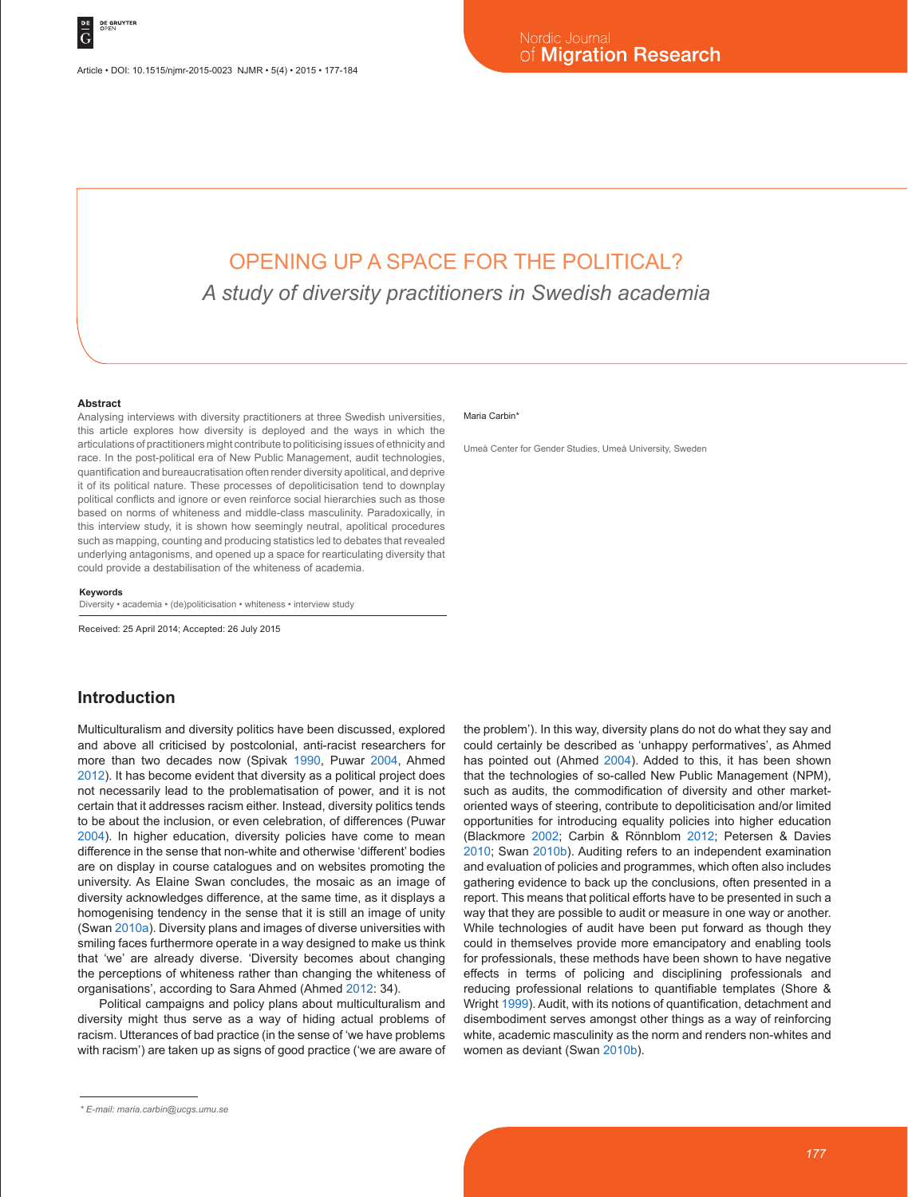# OPENING UP A SPACE FOR THE POLITICAL?

*A study of diversity practitioners in Swedish academia*

#### **Abstract**

Analysing interviews with diversity practitioners at three Swedish universities, this article explores how diversity is deployed and the ways in which the articulations of practitioners might contribute to politicising issues of ethnicity and race. In the post-political era of New Public Management, audit technologies, quantification and bureaucratisation often render diversity apolitical, and deprive it of its political nature. These processes of depoliticisation tend to downplay political conflicts and ignore or even reinforce social hierarchies such as those based on norms of whiteness and middle-class masculinity. Paradoxically, in this interview study, it is shown how seemingly neutral, apolitical procedures such as mapping, counting and producing statistics led to debates that revealed underlying antagonisms, and opened up a space for rearticulating diversity that could provide a destabilisation of the whiteness of academia.

#### **Keywords**

Diversity • academia • (de)politicisation • whiteness • interview study

Received: 25 April 2014; Accepted: 26 July 2015

#### **Introduction**

Multiculturalism and diversity politics have been discussed, explored and above all criticised by postcolonial, anti-racist researchers for more than two decades now (Spivak 1990, Puwar 2004, Ahmed 2012). It has become evident that diversity as a political project does not necessarily lead to the problematisation of power, and it is not certain that it addresses racism either. Instead, diversity politics tends to be about the inclusion, or even celebration, of differences (Puwar 2004). In higher education, diversity policies have come to mean difference in the sense that non-white and otherwise 'different' bodies are on display in course catalogues and on websites promoting the university. As Elaine Swan concludes, the mosaic as an image of diversity acknowledges difference, at the same time, as it displays a homogenising tendency in the sense that it is still an image of unity (Swan 2010a). Diversity plans and images of diverse universities with smiling faces furthermore operate in a way designed to make us think that 'we' are already diverse. 'Diversity becomes about changing the perceptions of whiteness rather than changing the whiteness of organisations', according to Sara Ahmed (Ahmed 2012: 34).

Political campaigns and policy plans about multiculturalism and diversity might thus serve as a way of hiding actual problems of racism. Utterances of bad practice (in the sense of 'we have problems with racism') are taken up as signs of good practice ('we are aware of

#### Maria Carbin<sup>\*</sup>

Umeå Center for Gender Studies, Umeå University, Sweden

the problem'). In this way, diversity plans do not do what they say and could certainly be described as 'unhappy performatives', as Ahmed has pointed out (Ahmed 2004). Added to this, it has been shown that the technologies of so-called New Public Management (NPM), such as audits, the commodification of diversity and other marketoriented ways of steering, contribute to depoliticisation and/or limited opportunities for introducing equality policies into higher education (Blackmore 2002; Carbin & Rönnblom 2012; Petersen & Davies 2010; Swan 2010b). Auditing refers to an independent examination and evaluation of policies and programmes, which often also includes gathering evidence to back up the conclusions, often presented in a report. This means that political efforts have to be presented in such a way that they are possible to audit or measure in one way or another. While technologies of audit have been put forward as though they could in themselves provide more emancipatory and enabling tools for professionals, these methods have been shown to have negative effects in terms of policing and disciplining professionals and reducing professional relations to quantifiable templates (Shore & Wright 1999). Audit, with its notions of quantification, detachment and disembodiment serves amongst other things as a way of reinforcing white, academic masculinity as the norm and renders non-whites and women as deviant (Swan 2010b).

*<sup>\*</sup> E-mail: maria.carbin@ucgs.umu.se*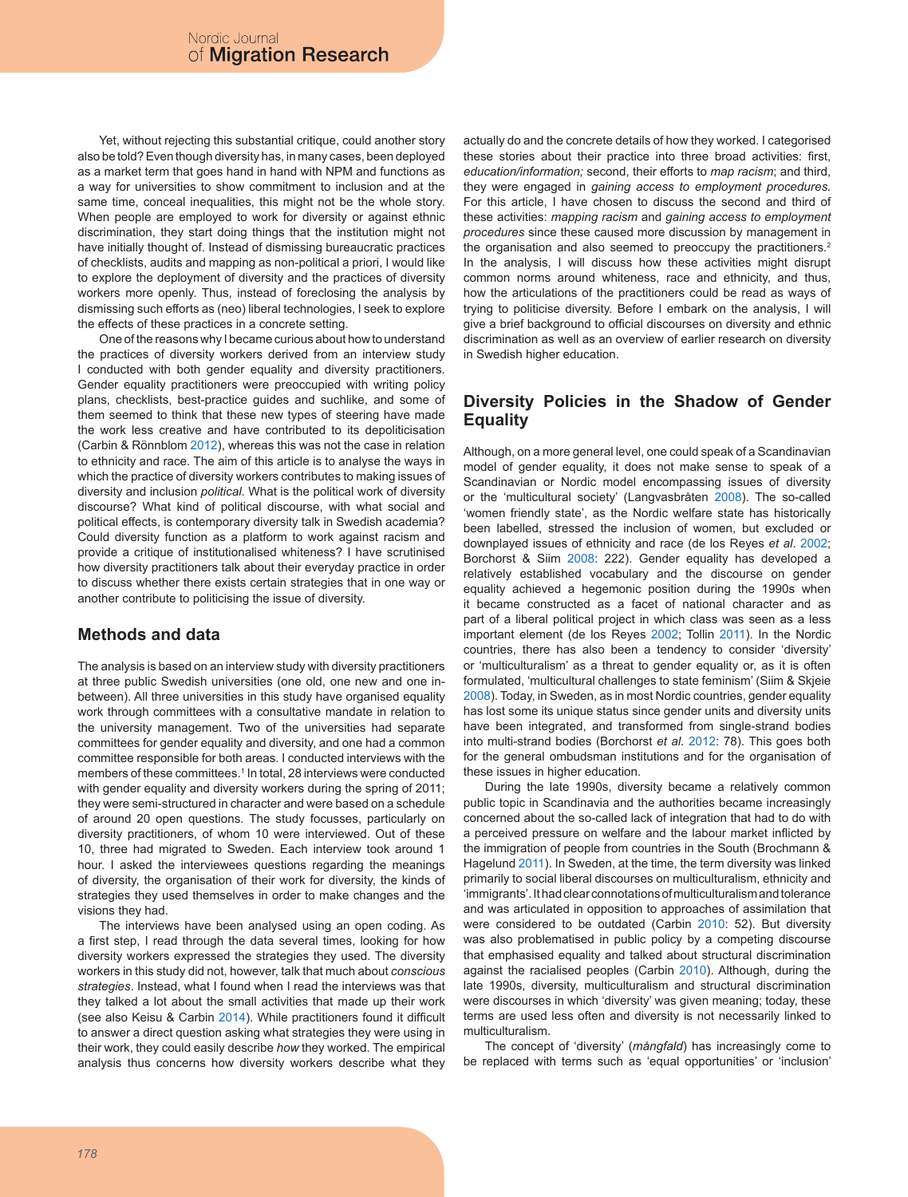Yet, without rejecting this substantial critique, could another story also be told? Even though diversity has, in many cases, been deployed as a market term that goes hand in hand with NPM and functions as a way for universities to show commitment to inclusion and at the same time, conceal inequalities, this might not be the whole story. When people are employed to work for diversity or against ethnic discrimination, they start doing things that the institution might not have initially thought of. Instead of dismissing bureaucratic practices of checklists, audits and mapping as non-political a priori, I would like to explore the deployment of diversity and the practices of diversity workers more openly. Thus, instead of foreclosing the analysis by dismissing such efforts as (neo) liberal technologies, I seek to explore the effects of these practices in a concrete setting.

One of the reasons why I became curious about how to understand the practices of diversity workers derived from an interview study I conducted with both gender equality and diversity practitioners. Gender equality practitioners were preoccupied with writing policy plans, checklists, best-practice guides and suchlike, and some of them seemed to think that these new types of steering have made the work less creative and have contributed to its depoliticisation (Carbin & Rönnblom 2012), whereas this was not the case in relation to ethnicity and race. The aim of this article is to analyse the ways in which the practice of diversity workers contributes to making issues of diversity and inclusion *political*. What is the political work of diversity discourse? What kind of political discourse, with what social and political effects, is contemporary diversity talk in Swedish academia? Could diversity function as a platform to work against racism and provide a critique of institutionalised whiteness? I have scrutinised how diversity practitioners talk about their everyday practice in order to discuss whether there exists certain strategies that in one way or another contribute to politicising the issue of diversity.

# **Methods and data**

The analysis is based on an interview study with diversity practitioners at three public Swedish universities (one old, one new and one inbetween). All three universities in this study have organised equality work through committees with a consultative mandate in relation to the university management. Two of the universities had separate committees for gender equality and diversity, and one had a common committee responsible for both areas. I conducted interviews with the members of these committees.<sup>1</sup> In total, 28 interviews were conducted with gender equality and diversity workers during the spring of 2011; they were semi-structured in character and were based on a schedule of around 20 open questions. The study focusses, particularly on diversity practitioners, of whom 10 were interviewed. Out of these 10, three had migrated to Sweden. Each interview took around 1 hour. I asked the interviewees questions regarding the meanings of diversity, the organisation of their work for diversity, the kinds of strategies they used themselves in order to make changes and the visions they had.

The interviews have been analysed using an open coding. As a first step, I read through the data several times, looking for how diversity workers expressed the strategies they used. The diversity workers in this study did not, however, talk that much about *conscious strategies*. Instead, what I found when I read the interviews was that they talked a lot about the small activities that made up their work (see also Keisu & Carbin 2014). While practitioners found it difficult to answer a direct question asking what strategies they were using in their work, they could easily describe *how* they worked. The empirical analysis thus concerns how diversity workers describe what they

actually do and the concrete details of how they worked. I categorised these stories about their practice into three broad activities: first, *education/information;* second, their efforts to *map racism*; and third, they were engaged in *gaining access to employment procedures.* For this article, I have chosen to discuss the second and third of these activities: *mapping racism* and *gaining access to employment procedures* since these caused more discussion by management in the organisation and also seemed to preoccupy the practitioners.<sup>2</sup> In the analysis, I will discuss how these activities might disrupt common norms around whiteness, race and ethnicity, and thus, how the articulations of the practitioners could be read as ways of trying to politicise diversity. Before I embark on the analysis, I will give a brief background to official discourses on diversity and ethnic discrimination as well as an overview of earlier research on diversity in Swedish higher education.

# **Diversity Policies in the Shadow of Gender Equality**

Although, on a more general level, one could speak of a Scandinavian model of gender equality, it does not make sense to speak of a Scandinavian or Nordic model encompassing issues of diversity or the 'multicultural society' (Langvasbråten 2008). The so-called 'women friendly state', as the Nordic welfare state has historically been labelled, stressed the inclusion of women, but excluded or downplayed issues of ethnicity and race (de los Reyes *et al*. 2002; Borchorst & Siim 2008: 222). Gender equality has developed a relatively established vocabulary and the discourse on gender equality achieved a hegemonic position during the 1990s when it became constructed as a facet of national character and as part of a liberal political project in which class was seen as a less important element (de los Reyes 2002; Tollin 2011). In the Nordic countries, there has also been a tendency to consider 'diversity' or 'multiculturalism' as a threat to gender equality or, as it is often formulated, 'multicultural challenges to state feminism' (Siim & Skjeie 2008). Today, in Sweden, as in most Nordic countries, gender equality has lost some its unique status since gender units and diversity units have been integrated, and transformed from single-strand bodies into multi-strand bodies (Borchorst *et al.* 2012: 78). This goes both for the general ombudsman institutions and for the organisation of these issues in higher education.

During the late 1990s, diversity became a relatively common public topic in Scandinavia and the authorities became increasingly concerned about the so-called lack of integration that had to do with a perceived pressure on welfare and the labour market inflicted by the immigration of people from countries in the South (Brochmann & Hagelund 2011). In Sweden, at the time, the term diversity was linked primarily to social liberal discourses on multiculturalism, ethnicity and 'immigrants'. It had clear connotations of multiculturalism and tolerance and was articulated in opposition to approaches of assimilation that were considered to be outdated (Carbin 2010: 52). But diversity was also problematised in public policy by a competing discourse that emphasised equality and talked about structural discrimination against the racialised peoples (Carbin 2010). Although, during the late 1990s, diversity, multiculturalism and structural discrimination were discourses in which 'diversity' was given meaning; today, these terms are used less often and diversity is not necessarily linked to multiculturalism.

The concept of 'diversity' (*mångfald*) has increasingly come to be replaced with terms such as 'equal opportunities' or 'inclusion'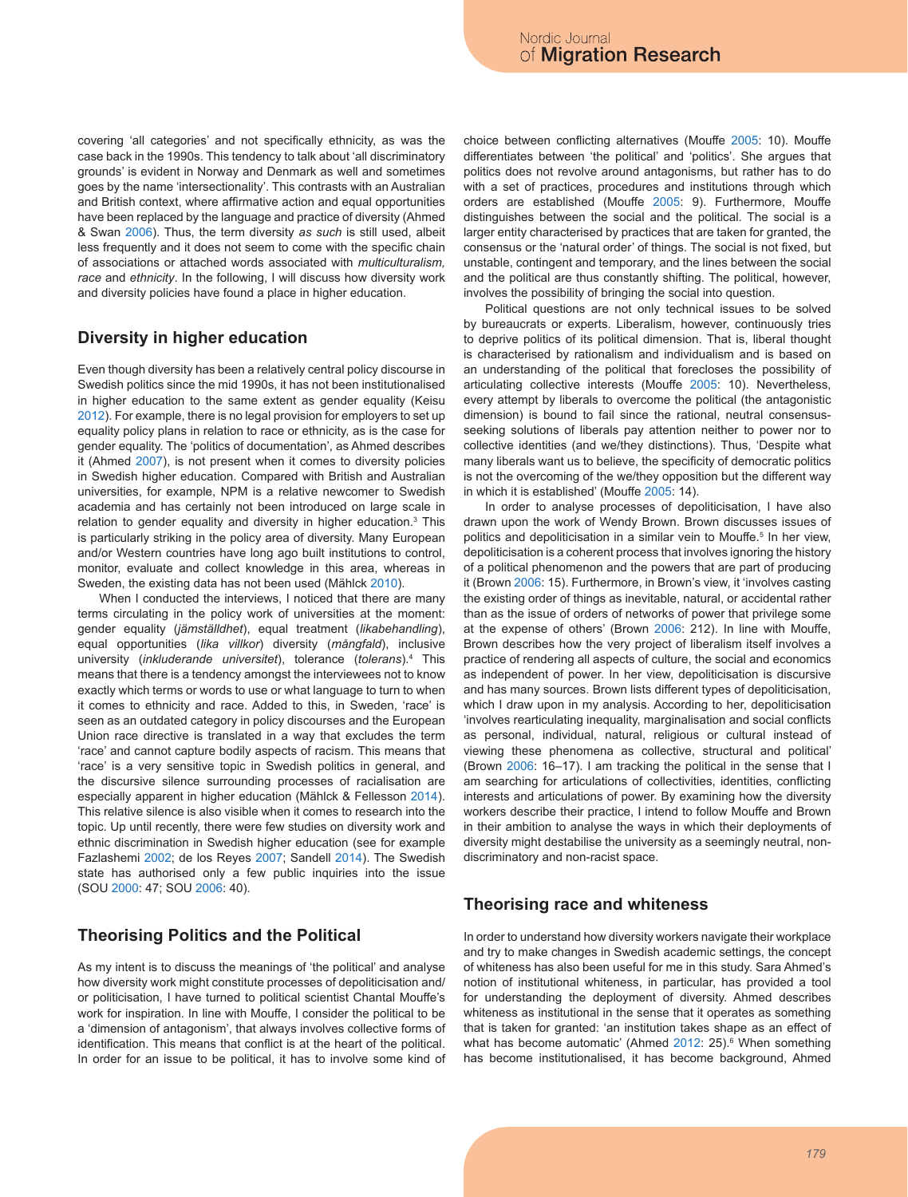covering 'all categories' and not specifically ethnicity, as was the case back in the 1990s. This tendency to talk about 'all discriminatory grounds' is evident in Norway and Denmark as well and sometimes goes by the name 'intersectionality'. This contrasts with an Australian and British context, where affirmative action and equal opportunities have been replaced by the language and practice of diversity (Ahmed & Swan 2006). Thus, the term diversity *as such* is still used, albeit less frequently and it does not seem to come with the specific chain of associations or attached words associated with *multiculturalism, race* and *ethnicity*. In the following, I will discuss how diversity work and diversity policies have found a place in higher education.

### **Diversity in higher education**

Even though diversity has been a relatively central policy discourse in Swedish politics since the mid 1990s, it has not been institutionalised in higher education to the same extent as gender equality (Keisu 2012). For example, there is no legal provision for employers to set up equality policy plans in relation to race or ethnicity, as is the case for gender equality. The 'politics of documentation', as Ahmed describes it (Ahmed 2007), is not present when it comes to diversity policies in Swedish higher education. Compared with British and Australian universities, for example, NPM is a relative newcomer to Swedish academia and has certainly not been introduced on large scale in relation to gender equality and diversity in higher education.<sup>3</sup> This is particularly striking in the policy area of diversity. Many European and/or Western countries have long ago built institutions to control, monitor, evaluate and collect knowledge in this area, whereas in Sweden, the existing data has not been used (Mählck 2010).

When I conducted the interviews, I noticed that there are many terms circulating in the policy work of universities at the moment: gender equality (*jämställdhet*), equal treatment (*likabehandling*), equal opportunities (*lika villkor*) diversity (*mångfald*), inclusive university (*inkluderande universitet*), tolerance (*tolerans*).4 This means that there is a tendency amongst the interviewees not to know exactly which terms or words to use or what language to turn to when it comes to ethnicity and race. Added to this, in Sweden, 'race' is seen as an outdated category in policy discourses and the European Union race directive is translated in a way that excludes the term 'race' and cannot capture bodily aspects of racism. This means that 'race' is a very sensitive topic in Swedish politics in general, and the discursive silence surrounding processes of racialisation are especially apparent in higher education (Mählck & Fellesson 2014). This relative silence is also visible when it comes to research into the topic. Up until recently, there were few studies on diversity work and ethnic discrimination in Swedish higher education (see for example Fazlashemi 2002; de los Reyes 2007; Sandell 2014). The Swedish state has authorised only a few public inquiries into the issue (SOU 2000: 47; SOU 2006: 40).

## **Theorising Politics and the Political**

As my intent is to discuss the meanings of 'the political' and analyse how diversity work might constitute processes of depoliticisation and/ or politicisation, I have turned to political scientist Chantal Mouffe's work for inspiration. In line with Mouffe, I consider the political to be a 'dimension of antagonism', that always involves collective forms of identification. This means that conflict is at the heart of the political. In order for an issue to be political, it has to involve some kind of choice between conflicting alternatives (Mouffe 2005: 10). Mouffe differentiates between 'the political' and 'politics'. She argues that politics does not revolve around antagonisms, but rather has to do with a set of practices, procedures and institutions through which orders are established (Mouffe 2005: 9). Furthermore, Mouffe distinguishes between the social and the political. The social is a larger entity characterised by practices that are taken for granted, the consensus or the 'natural order' of things. The social is not fixed, but unstable, contingent and temporary, and the lines between the social and the political are thus constantly shifting. The political, however, involves the possibility of bringing the social into question.

Political questions are not only technical issues to be solved by bureaucrats or experts. Liberalism, however, continuously tries to deprive politics of its political dimension. That is, liberal thought is characterised by rationalism and individualism and is based on an understanding of the political that forecloses the possibility of articulating collective interests (Mouffe 2005: 10). Nevertheless, every attempt by liberals to overcome the political (the antagonistic dimension) is bound to fail since the rational, neutral consensusseeking solutions of liberals pay attention neither to power nor to collective identities (and we/they distinctions). Thus, 'Despite what many liberals want us to believe, the specificity of democratic politics is not the overcoming of the we/they opposition but the different way in which it is established' (Mouffe 2005: 14).

In order to analyse processes of depoliticisation, I have also drawn upon the work of Wendy Brown. Brown discusses issues of politics and depoliticisation in a similar vein to Mouffe.5 In her view, depoliticisation is a coherent process that involves ignoring the history of a political phenomenon and the powers that are part of producing it (Brown 2006: 15). Furthermore, in Brown's view, it 'involves casting the existing order of things as inevitable, natural, or accidental rather than as the issue of orders of networks of power that privilege some at the expense of others' (Brown 2006: 212). In line with Mouffe, Brown describes how the very project of liberalism itself involves a practice of rendering all aspects of culture, the social and economics as independent of power. In her view, depoliticisation is discursive and has many sources. Brown lists different types of depoliticisation, which I draw upon in my analysis. According to her, depoliticisation 'involves rearticulating inequality, marginalisation and social conflicts as personal, individual, natural, religious or cultural instead of viewing these phenomena as collective, structural and political' (Brown 2006: 16–17). I am tracking the political in the sense that I am searching for articulations of collectivities, identities, conflicting interests and articulations of power. By examining how the diversity workers describe their practice, I intend to follow Mouffe and Brown in their ambition to analyse the ways in which their deployments of diversity might destabilise the university as a seemingly neutral, nondiscriminatory and non-racist space.

#### **Theorising race and whiteness**

In order to understand how diversity workers navigate their workplace and try to make changes in Swedish academic settings, the concept of whiteness has also been useful for me in this study. Sara Ahmed's notion of institutional whiteness, in particular, has provided a tool for understanding the deployment of diversity. Ahmed describes whiteness as institutional in the sense that it operates as something that is taken for granted: 'an institution takes shape as an effect of what has become automatic' (Ahmed 2012: 25).<sup>6</sup> When something has become institutionalised, it has become background, Ahmed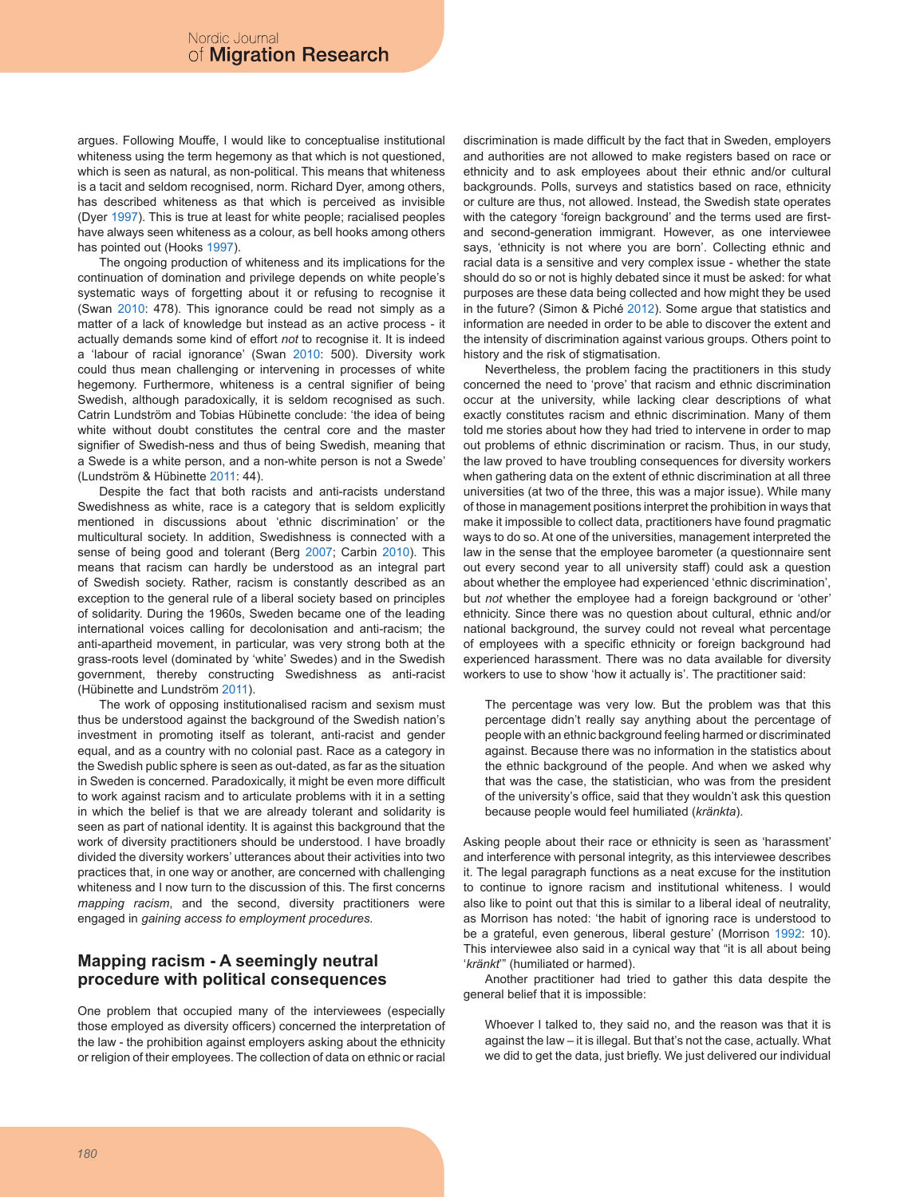argues. Following Mouffe, I would like to conceptualise institutional whiteness using the term hegemony as that which is not questioned, which is seen as natural, as non-political. This means that whiteness is a tacit and seldom recognised, norm. Richard Dyer, among others, has described whiteness as that which is perceived as invisible (Dyer 1997). This is true at least for white people; racialised peoples have always seen whiteness as a colour, as bell hooks among others has pointed out (Hooks 1997).

The ongoing production of whiteness and its implications for the continuation of domination and privilege depends on white people's systematic ways of forgetting about it or refusing to recognise it (Swan 2010: 478). This ignorance could be read not simply as a matter of a lack of knowledge but instead as an active process - it actually demands some kind of effort *not* to recognise it. It is indeed a 'labour of racial ignorance' (Swan 2010: 500). Diversity work could thus mean challenging or intervening in processes of white hegemony. Furthermore, whiteness is a central signifier of being Swedish, although paradoxically, it is seldom recognised as such. Catrin Lundström and Tobias Hübinette conclude: 'the idea of being white without doubt constitutes the central core and the master signifier of Swedish-ness and thus of being Swedish, meaning that a Swede is a white person, and a non-white person is not a Swede' (Lundström & Hübinette 2011: 44).

Despite the fact that both racists and anti-racists understand Swedishness as white, race is a category that is seldom explicitly mentioned in discussions about 'ethnic discrimination' or the multicultural society. In addition, Swedishness is connected with a sense of being good and tolerant (Berg 2007; Carbin 2010). This means that racism can hardly be understood as an integral part of Swedish society. Rather, racism is constantly described as an exception to the general rule of a liberal society based on principles of solidarity. During the 1960s, Sweden became one of the leading international voices calling for decolonisation and anti-racism; the anti-apartheid movement, in particular, was very strong both at the grass-roots level (dominated by 'white' Swedes) and in the Swedish government, thereby constructing Swedishness as anti-racist (Hübinette and Lundström 2011).

The work of opposing institutionalised racism and sexism must thus be understood against the background of the Swedish nation's investment in promoting itself as tolerant, anti-racist and gender equal, and as a country with no colonial past. Race as a category in the Swedish public sphere is seen as out-dated, as far as the situation in Sweden is concerned. Paradoxically, it might be even more difficult to work against racism and to articulate problems with it in a setting in which the belief is that we are already tolerant and solidarity is seen as part of national identity. It is against this background that the work of diversity practitioners should be understood. I have broadly divided the diversity workers' utterances about their activities into two practices that, in one way or another, are concerned with challenging whiteness and I now turn to the discussion of this. The first concerns *mapping racism*, and the second, diversity practitioners were engaged in *gaining access to employment procedures.*

# **Mapping racism - A seemingly neutral procedure with political consequences**

One problem that occupied many of the interviewees (especially those employed as diversity officers) concerned the interpretation of the law - the prohibition against employers asking about the ethnicity or religion of their employees. The collection of data on ethnic or racial

discrimination is made difficult by the fact that in Sweden, employers and authorities are not allowed to make registers based on race or ethnicity and to ask employees about their ethnic and/or cultural backgrounds. Polls, surveys and statistics based on race, ethnicity or culture are thus, not allowed. Instead, the Swedish state operates with the category 'foreign background' and the terms used are firstand second-generation immigrant. However, as one interviewee says, 'ethnicity is not where you are born'. Collecting ethnic and racial data is a sensitive and very complex issue - whether the state should do so or not is highly debated since it must be asked: for what purposes are these data being collected and how might they be used in the future? (Simon & Piché 2012). Some argue that statistics and information are needed in order to be able to discover the extent and the intensity of discrimination against various groups. Others point to history and the risk of stigmatisation.

Nevertheless, the problem facing the practitioners in this study concerned the need to 'prove' that racism and ethnic discrimination occur at the university, while lacking clear descriptions of what exactly constitutes racism and ethnic discrimination. Many of them told me stories about how they had tried to intervene in order to map out problems of ethnic discrimination or racism. Thus, in our study, the law proved to have troubling consequences for diversity workers when gathering data on the extent of ethnic discrimination at all three universities (at two of the three, this was a major issue). While many of those in management positions interpret the prohibition in ways that make it impossible to collect data, practitioners have found pragmatic ways to do so. At one of the universities, management interpreted the law in the sense that the employee barometer (a questionnaire sent out every second year to all university staff) could ask a question about whether the employee had experienced 'ethnic discrimination', but *not* whether the employee had a foreign background or 'other' ethnicity. Since there was no question about cultural, ethnic and/or national background, the survey could not reveal what percentage of employees with a specific ethnicity or foreign background had experienced harassment. There was no data available for diversity workers to use to show 'how it actually is'. The practitioner said:

The percentage was very low. But the problem was that this percentage didn't really say anything about the percentage of people with an ethnic background feeling harmed or discriminated against. Because there was no information in the statistics about the ethnic background of the people. And when we asked why that was the case, the statistician, who was from the president of the university's office, said that they wouldn't ask this question because people would feel humiliated (*kränkta*).

Asking people about their race or ethnicity is seen as 'harassment' and interference with personal integrity, as this interviewee describes it. The legal paragraph functions as a neat excuse for the institution to continue to ignore racism and institutional whiteness. I would also like to point out that this is similar to a liberal ideal of neutrality, as Morrison has noted: 'the habit of ignoring race is understood to be a grateful, even generous, liberal gesture' (Morrison 1992: 10). This interviewee also said in a cynical way that "it is all about being '*kränkt*'" (humiliated or harmed).

Another practitioner had tried to gather this data despite the general belief that it is impossible:

Whoever I talked to, they said no, and the reason was that it is against the law – it is illegal. But that's not the case, actually. What we did to get the data, just briefly. We just delivered our individual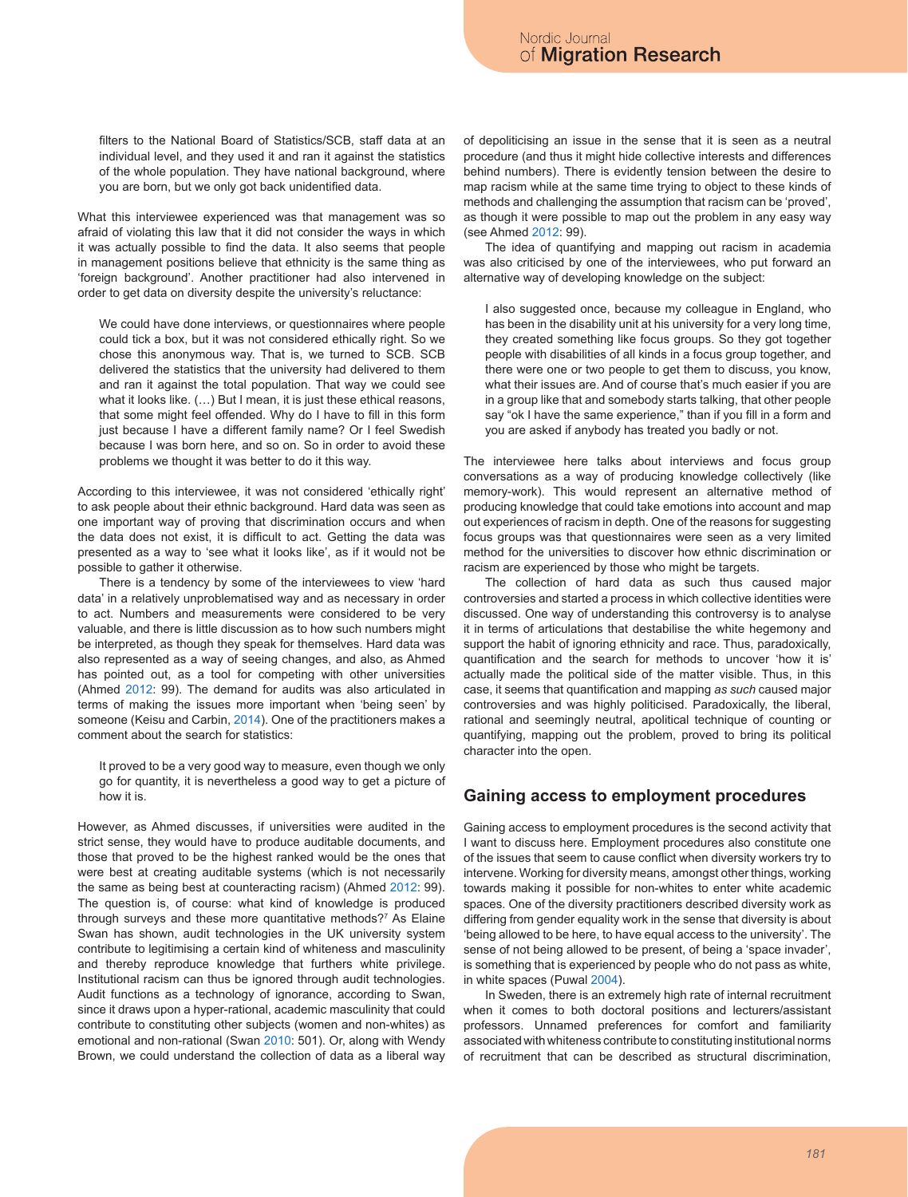filters to the National Board of Statistics/SCB, staff data at an individual level, and they used it and ran it against the statistics of the whole population. They have national background, where you are born, but we only got back unidentified data.

What this interviewee experienced was that management was so afraid of violating this law that it did not consider the ways in which it was actually possible to find the data. It also seems that people in management positions believe that ethnicity is the same thing as 'foreign background'. Another practitioner had also intervened in order to get data on diversity despite the university's reluctance:

We could have done interviews, or questionnaires where people could tick a box, but it was not considered ethically right. So we chose this anonymous way. That is, we turned to SCB. SCB delivered the statistics that the university had delivered to them and ran it against the total population. That way we could see what it looks like. (…) But I mean, it is just these ethical reasons, that some might feel offended. Why do I have to fill in this form just because I have a different family name? Or I feel Swedish because I was born here, and so on. So in order to avoid these problems we thought it was better to do it this way.

According to this interviewee, it was not considered 'ethically right' to ask people about their ethnic background. Hard data was seen as one important way of proving that discrimination occurs and when the data does not exist, it is difficult to act. Getting the data was presented as a way to 'see what it looks like', as if it would not be possible to gather it otherwise.

There is a tendency by some of the interviewees to view 'hard data' in a relatively unproblematised way and as necessary in order to act. Numbers and measurements were considered to be very valuable, and there is little discussion as to how such numbers might be interpreted, as though they speak for themselves. Hard data was also represented as a way of seeing changes, and also, as Ahmed has pointed out, as a tool for competing with other universities (Ahmed 2012: 99). The demand for audits was also articulated in terms of making the issues more important when 'being seen' by someone (Keisu and Carbin, 2014). One of the practitioners makes a comment about the search for statistics:

It proved to be a very good way to measure, even though we only go for quantity, it is nevertheless a good way to get a picture of how it is.

However, as Ahmed discusses, if universities were audited in the strict sense, they would have to produce auditable documents, and those that proved to be the highest ranked would be the ones that were best at creating auditable systems (which is not necessarily the same as being best at counteracting racism) (Ahmed 2012: 99). The question is, of course: what kind of knowledge is produced through surveys and these more quantitative methods?7 As Elaine Swan has shown, audit technologies in the UK university system contribute to legitimising a certain kind of whiteness and masculinity and thereby reproduce knowledge that furthers white privilege. Institutional racism can thus be ignored through audit technologies. Audit functions as a technology of ignorance, according to Swan, since it draws upon a hyper-rational, academic masculinity that could contribute to constituting other subjects (women and non-whites) as emotional and non-rational (Swan 2010: 501). Or, along with Wendy Brown, we could understand the collection of data as a liberal way

of depoliticising an issue in the sense that it is seen as a neutral procedure (and thus it might hide collective interests and differences behind numbers). There is evidently tension between the desire to map racism while at the same time trying to object to these kinds of methods and challenging the assumption that racism can be 'proved', as though it were possible to map out the problem in any easy way (see Ahmed 2012: 99).

The idea of quantifying and mapping out racism in academia was also criticised by one of the interviewees, who put forward an alternative way of developing knowledge on the subject:

I also suggested once, because my colleague in England, who has been in the disability unit at his university for a very long time, they created something like focus groups. So they got together people with disabilities of all kinds in a focus group together, and there were one or two people to get them to discuss, you know, what their issues are. And of course that's much easier if you are in a group like that and somebody starts talking, that other people say "ok I have the same experience," than if you fill in a form and you are asked if anybody has treated you badly or not.

The interviewee here talks about interviews and focus group conversations as a way of producing knowledge collectively (like memory-work). This would represent an alternative method of producing knowledge that could take emotions into account and map out experiences of racism in depth. One of the reasons for suggesting focus groups was that questionnaires were seen as a very limited method for the universities to discover how ethnic discrimination or racism are experienced by those who might be targets.

The collection of hard data as such thus caused major controversies and started a process in which collective identities were discussed. One way of understanding this controversy is to analyse it in terms of articulations that destabilise the white hegemony and support the habit of ignoring ethnicity and race. Thus, paradoxically, quantification and the search for methods to uncover 'how it is' actually made the political side of the matter visible. Thus, in this case, it seems that quantification and mapping *as such* caused major controversies and was highly politicised. Paradoxically, the liberal, rational and seemingly neutral, apolitical technique of counting or quantifying, mapping out the problem, proved to bring its political character into the open.

### **Gaining access to employment procedures**

Gaining access to employment procedures is the second activity that I want to discuss here. Employment procedures also constitute one of the issues that seem to cause conflict when diversity workers try to intervene. Working for diversity means, amongst other things, working towards making it possible for non-whites to enter white academic spaces. One of the diversity practitioners described diversity work as differing from gender equality work in the sense that diversity is about 'being allowed to be here, to have equal access to the university'. The sense of not being allowed to be present, of being a 'space invader', is something that is experienced by people who do not pass as white, in white spaces (Puwal 2004).

In Sweden, there is an extremely high rate of internal recruitment when it comes to both doctoral positions and lecturers/assistant professors. Unnamed preferences for comfort and familiarity associated with whiteness contribute to constituting institutional norms of recruitment that can be described as structural discrimination,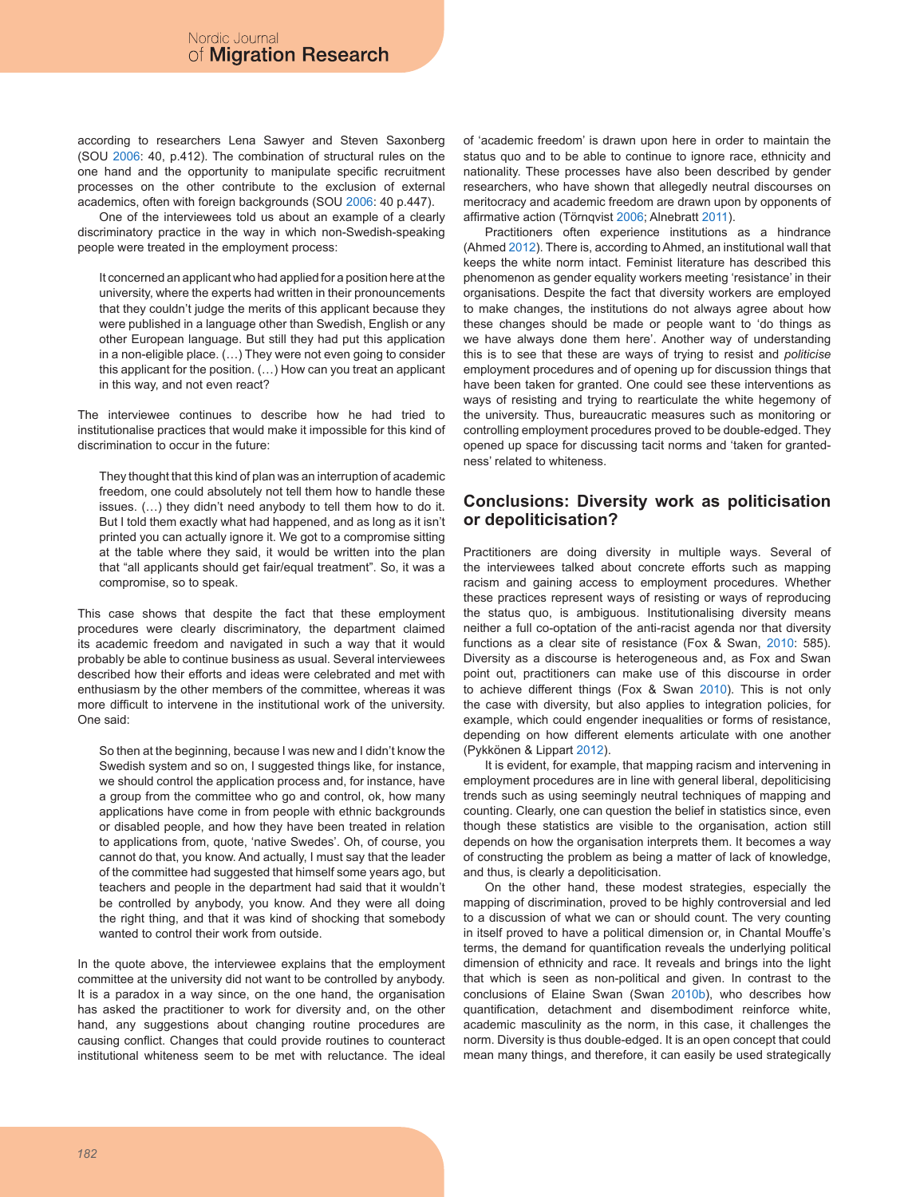according to researchers Lena Sawyer and Steven Saxonberg (SOU 2006: 40, p.412). The combination of structural rules on the one hand and the opportunity to manipulate specific recruitment processes on the other contribute to the exclusion of external academics, often with foreign backgrounds (SOU 2006: 40 p.447).

One of the interviewees told us about an example of a clearly discriminatory practice in the way in which non-Swedish-speaking people were treated in the employment process:

It concerned an applicant who had applied for a position here at the university, where the experts had written in their pronouncements that they couldn't judge the merits of this applicant because they were published in a language other than Swedish, English or any other European language. But still they had put this application in a non-eligible place. (…) They were not even going to consider this applicant for the position. (…) How can you treat an applicant in this way, and not even react?

The interviewee continues to describe how he had tried to institutionalise practices that would make it impossible for this kind of discrimination to occur in the future:

They thought that this kind of plan was an interruption of academic freedom, one could absolutely not tell them how to handle these issues. (…) they didn't need anybody to tell them how to do it. But I told them exactly what had happened, and as long as it isn't printed you can actually ignore it. We got to a compromise sitting at the table where they said, it would be written into the plan that "all applicants should get fair/equal treatment". So, it was a compromise, so to speak.

This case shows that despite the fact that these employment procedures were clearly discriminatory, the department claimed its academic freedom and navigated in such a way that it would probably be able to continue business as usual. Several interviewees described how their efforts and ideas were celebrated and met with enthusiasm by the other members of the committee, whereas it was more difficult to intervene in the institutional work of the university. One said:

So then at the beginning, because I was new and I didn't know the Swedish system and so on, I suggested things like, for instance, we should control the application process and, for instance, have a group from the committee who go and control, ok, how many applications have come in from people with ethnic backgrounds or disabled people, and how they have been treated in relation to applications from, quote, 'native Swedes'. Oh, of course, you cannot do that, you know. And actually, I must say that the leader of the committee had suggested that himself some years ago, but teachers and people in the department had said that it wouldn't be controlled by anybody, you know. And they were all doing the right thing, and that it was kind of shocking that somebody wanted to control their work from outside.

In the quote above, the interviewee explains that the employment committee at the university did not want to be controlled by anybody. It is a paradox in a way since, on the one hand, the organisation has asked the practitioner to work for diversity and, on the other hand, any suggestions about changing routine procedures are causing conflict. Changes that could provide routines to counteract institutional whiteness seem to be met with reluctance. The ideal

of 'academic freedom' is drawn upon here in order to maintain the status quo and to be able to continue to ignore race, ethnicity and nationality. These processes have also been described by gender researchers, who have shown that allegedly neutral discourses on meritocracy and academic freedom are drawn upon by opponents of affirmative action (Törnqvist 2006; Alnebratt 2011).

Practitioners often experience institutions as a hindrance (Ahmed 2012). There is, according to Ahmed, an institutional wall that keeps the white norm intact. Feminist literature has described this phenomenon as gender equality workers meeting 'resistance' in their organisations. Despite the fact that diversity workers are employed to make changes, the institutions do not always agree about how these changes should be made or people want to 'do things as we have always done them here'. Another way of understanding this is to see that these are ways of trying to resist and *politicise* employment procedures and of opening up for discussion things that have been taken for granted. One could see these interventions as ways of resisting and trying to rearticulate the white hegemony of the university. Thus, bureaucratic measures such as monitoring or controlling employment procedures proved to be double-edged. They opened up space for discussing tacit norms and 'taken for grantedness' related to whiteness.

# **Conclusions: Diversity work as politicisation or depoliticisation?**

Practitioners are doing diversity in multiple ways. Several of the interviewees talked about concrete efforts such as mapping racism and gaining access to employment procedures. Whether these practices represent ways of resisting or ways of reproducing the status quo, is ambiguous. Institutionalising diversity means neither a full co-optation of the anti-racist agenda nor that diversity functions as a clear site of resistance (Fox & Swan, 2010: 585). Diversity as a discourse is heterogeneous and, as Fox and Swan point out, practitioners can make use of this discourse in order to achieve different things (Fox & Swan 2010). This is not only the case with diversity, but also applies to integration policies, for example, which could engender inequalities or forms of resistance, depending on how different elements articulate with one another (Pykkönen & Lippart 2012).

It is evident, for example, that mapping racism and intervening in employment procedures are in line with general liberal, depoliticising trends such as using seemingly neutral techniques of mapping and counting. Clearly, one can question the belief in statistics since, even though these statistics are visible to the organisation, action still depends on how the organisation interprets them. It becomes a way of constructing the problem as being a matter of lack of knowledge, and thus, is clearly a depoliticisation.

On the other hand, these modest strategies, especially the mapping of discrimination, proved to be highly controversial and led to a discussion of what we can or should count. The very counting in itself proved to have a political dimension or, in Chantal Mouffe's terms, the demand for quantification reveals the underlying political dimension of ethnicity and race. It reveals and brings into the light that which is seen as non-political and given. In contrast to the conclusions of Elaine Swan (Swan 2010b), who describes how quantification, detachment and disembodiment reinforce white, academic masculinity as the norm, in this case, it challenges the norm. Diversity is thus double-edged. It is an open concept that could mean many things, and therefore, it can easily be used strategically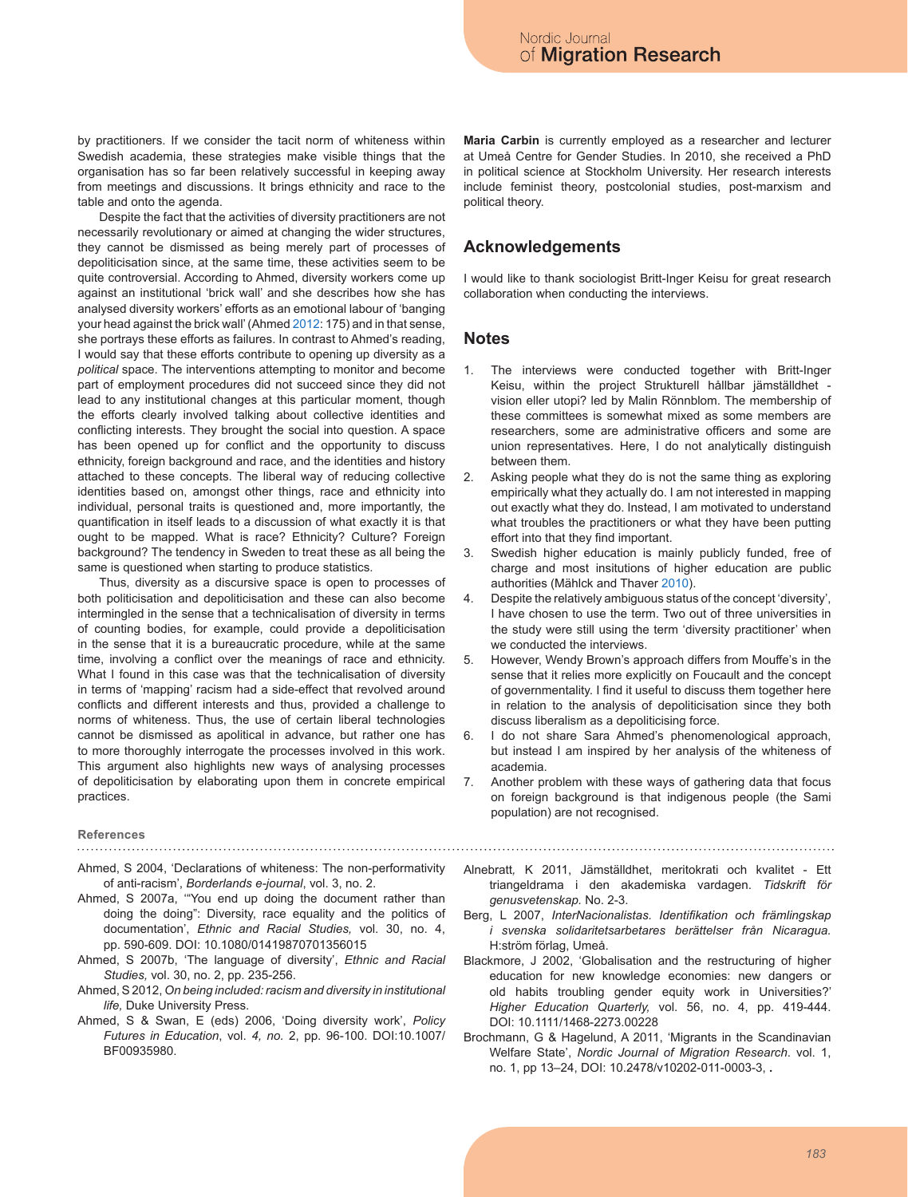by practitioners. If we consider the tacit norm of whiteness within Swedish academia, these strategies make visible things that the organisation has so far been relatively successful in keeping away from meetings and discussions. It brings ethnicity and race to the table and onto the agenda.

Despite the fact that the activities of diversity practitioners are not necessarily revolutionary or aimed at changing the wider structures, they cannot be dismissed as being merely part of processes of depoliticisation since, at the same time, these activities seem to be quite controversial. According to Ahmed, diversity workers come up against an institutional 'brick wall' and she describes how she has analysed diversity workers' efforts as an emotional labour of 'banging your head against the brick wall' (Ahmed 2012: 175) and in that sense, she portrays these efforts as failures. In contrast to Ahmed's reading, I would say that these efforts contribute to opening up diversity as a *political* space. The interventions attempting to monitor and become part of employment procedures did not succeed since they did not lead to any institutional changes at this particular moment, though the efforts clearly involved talking about collective identities and conflicting interests. They brought the social into question. A space has been opened up for conflict and the opportunity to discuss ethnicity, foreign background and race, and the identities and history attached to these concepts. The liberal way of reducing collective identities based on, amongst other things, race and ethnicity into individual, personal traits is questioned and, more importantly, the quantification in itself leads to a discussion of what exactly it is that ought to be mapped. What is race? Ethnicity? Culture? Foreign background? The tendency in Sweden to treat these as all being the same is questioned when starting to produce statistics.

Thus, diversity as a discursive space is open to processes of both politicisation and depoliticisation and these can also become intermingled in the sense that a technicalisation of diversity in terms of counting bodies, for example, could provide a depoliticisation in the sense that it is a bureaucratic procedure, while at the same time, involving a conflict over the meanings of race and ethnicity. What I found in this case was that the technicalisation of diversity in terms of 'mapping' racism had a side-effect that revolved around conflicts and different interests and thus, provided a challenge to norms of whiteness. Thus, the use of certain liberal technologies cannot be dismissed as apolitical in advance, but rather one has to more thoroughly interrogate the processes involved in this work. This argument also highlights new ways of analysing processes of depoliticisation by elaborating upon them in concrete empirical practices.

**Maria Carbin** is currently employed as a researcher and lecturer at Umeå Centre for Gender Studies. In 2010, she received a PhD in political science at Stockholm University. Her research interests include feminist theory, postcolonial studies, post-marxism and political theory.

### **Acknowledgements**

I would like to thank sociologist Britt-Inger Keisu for great research collaboration when conducting the interviews.

### **Notes**

- The interviews were conducted together with Britt-Inger Keisu, within the project Strukturell hållbar jämställdhet vision eller utopi? led by Malin Rönnblom. The membership of these committees is somewhat mixed as some members are researchers, some are administrative officers and some are union representatives. Here, I do not analytically distinguish between them.
- 2. Asking people what they do is not the same thing as exploring empirically what they actually do. I am not interested in mapping out exactly what they do. Instead, I am motivated to understand what troubles the practitioners or what they have been putting effort into that they find important.
- 3. Swedish higher education is mainly publicly funded, free of charge and most insitutions of higher education are public authorities (Mählck and Thaver 2010).
- 4. Despite the relatively ambiguous status of the concept 'diversity', I have chosen to use the term. Two out of three universities in the study were still using the term 'diversity practitioner' when we conducted the interviews.
- 5. However, Wendy Brown's approach differs from Mouffe's in the sense that it relies more explicitly on Foucault and the concept of governmentality. I find it useful to discuss them together here in relation to the analysis of depoliticisation since they both discuss liberalism as a depoliticising force.
- 6. I do not share Sara Ahmed's phenomenological approach, but instead I am inspired by her analysis of the whiteness of academia.
- 7. Another problem with these ways of gathering data that focus on foreign background is that indigenous people (the Sami population) are not recognised.

#### **References**

- Ahmed, S 2004, 'Declarations of whiteness: The non-performativity of anti-racism', *Borderlands e-journal*, vol. 3, no. 2.
- Ahmed, S 2007a, '"You end up doing the document rather than doing the doing": Diversity, race equality and the politics of documentation', *Ethnic and Racial Studies,* vol. 30, no. 4, pp. 590-609. DOI: 10.1080/01419870701356015
- Ahmed, S 2007b, 'The language of diversity', *Ethnic and Racial Studies,* vol. 30, no. 2, pp. 235-256.
- Ahmed, S 2012, *On being included: racism and diversity in institutional life,* Duke University Press.
- Ahmed, S & Swan, E (eds) 2006, 'Doing diversity work', *Policy Futures in Education*, vol. *4, no.* 2, pp. 96-100. DOI:10.1007/ BF00935980.
- Alnebratt*,* K 2011, Jämställdhet, meritokrati och kvalitet Ett triangeldrama i den akademiska vardagen. *Tidskrift för genusvetenskap.* No. 2-3.
- Berg, L 2007, *InterNacionalistas. Identifikation och främlingskap i svenska solidaritetsarbetares berättelser från Nicaragua.* H:ström förlag, Umeå.
- Blackmore, J 2002, 'Globalisation and the restructuring of higher education for new knowledge economies: new dangers or old habits troubling gender equity work in Universities?' *Higher Education Quarterly,* vol. 56, no. 4, pp. 419-444. DOI: 10.1111/1468-2273.00228
- Brochmann, G & Hagelund, A 2011, 'Migrants in the Scandinavian Welfare State', *Nordic Journal of Migration Research*. vol. 1, no. 1, pp 13–24, DOI: 10.2478/v10202-011-0003-3, **.**